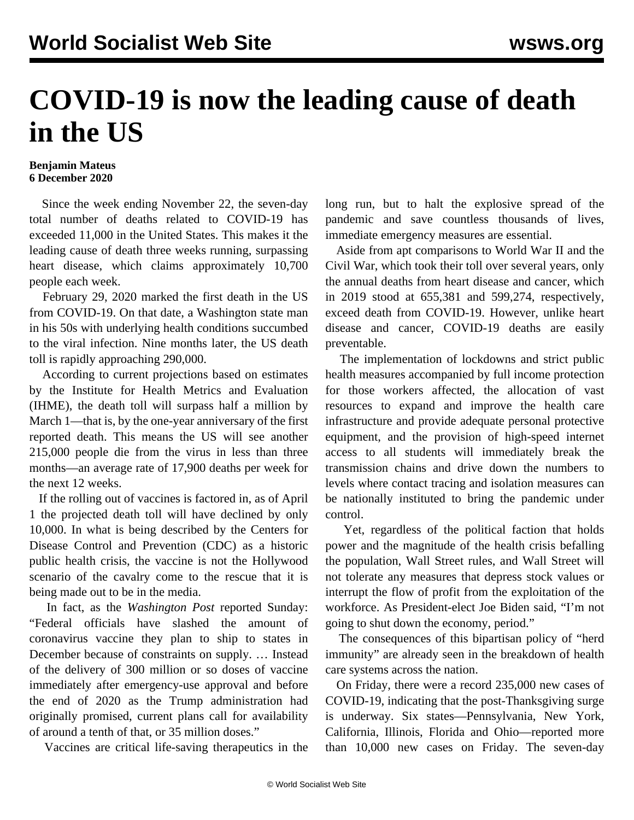## **COVID-19 is now the leading cause of death in the US**

## **Benjamin Mateus 6 December 2020**

 Since the week ending November 22, the seven-day total number of deaths related to COVID-19 has exceeded 11,000 in the United States. This makes it the leading cause of death three weeks running, surpassing heart disease, which claims approximately 10,700 people each week.

 February 29, 2020 marked the first death in the US from COVID-19. On that date, a Washington state man in his 50s with underlying health conditions succumbed to the viral infection. Nine months later, the US death toll is rapidly approaching 290,000.

 According to current projections based on estimates by the Institute for Health Metrics and Evaluation (IHME), the death toll will surpass half a million by March 1—that is, by the one-year anniversary of the first reported death. This means the US will see another 215,000 people die from the virus in less than three months—an average rate of 17,900 deaths per week for the next 12 weeks.

 If the rolling out of vaccines is factored in, as of April 1 the projected death toll will have declined by only 10,000. In what is being described by the Centers for Disease Control and Prevention (CDC) as a historic public health crisis, the vaccine is not the Hollywood scenario of the cavalry come to the rescue that it is being made out to be in the media.

 In fact, as the *Washington Post* reported Sunday: "Federal officials have slashed the amount of coronavirus vaccine they plan to ship to states in December because of constraints on supply. … Instead of the delivery of 300 million or so doses of vaccine immediately after emergency-use approval and before the end of 2020 as the Trump administration had originally promised, current plans call for availability of around a tenth of that, or 35 million doses."

Vaccines are critical life-saving therapeutics in the

long run, but to halt the explosive spread of the pandemic and save countless thousands of lives, immediate emergency measures are essential.

 Aside from apt comparisons to World War II and the Civil War, which took their toll over several years, only the annual deaths from heart disease and cancer, which in 2019 stood at 655,381 and 599,274, respectively, exceed death from COVID-19. However, unlike heart disease and cancer, COVID-19 deaths are easily preventable.

 The implementation of lockdowns and strict public health measures accompanied by full income protection for those workers affected, the allocation of vast resources to expand and improve the health care infrastructure and provide adequate personal protective equipment, and the provision of high-speed internet access to all students will immediately break the transmission chains and drive down the numbers to levels where contact tracing and isolation measures can be nationally instituted to bring the pandemic under control.

 Yet, regardless of the political faction that holds power and the magnitude of the health crisis befalling the population, Wall Street rules, and Wall Street will not tolerate any measures that depress stock values or interrupt the flow of profit from the exploitation of the workforce. As President-elect Joe Biden said, "I'm not going to shut down the economy, period."

 The consequences of this bipartisan policy of "herd immunity" are already seen in the breakdown of health care systems across the nation.

 On Friday, there were a record 235,000 new cases of COVID-19, indicating that the post-Thanksgiving surge is underway. Six states—Pennsylvania, New York, California, Illinois, Florida and Ohio—reported more than 10,000 new cases on Friday. The seven-day